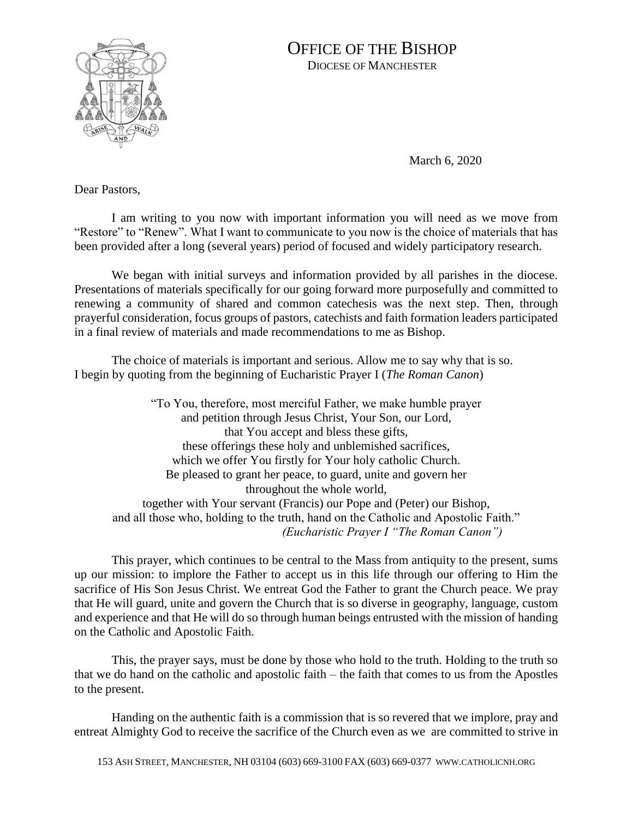

## OFFICE OF THE BISHOP DIOCESE OF MANCHESTER

March 6, 2020

Dear Pastors,

I am writing to you now with important information you will need as we move from "Restore" to "Renew". What I want to communicate to you now is the choice of materials that has been provided after a long (several years) period of focused and widely participatory research.

We began with initial surveys and information provided by all parishes in the diocese. Presentations of materials specifically for our going forward more purposefully and committed to renewing a community of shared and common catechesis was the next step. Then, through prayerful consideration, focus groups of pastors, catechists and faith formation leaders participated in a final review of materials and made recommendations to me as Bishop.

The choice of materials is important and serious. Allow me to say why that is so. I begin by quoting from the beginning of Eucharistic Prayer I (*The Roman Canon*)

"To You, therefore, most merciful Father, we make humble prayer and petition through Jesus Christ, Your Son, our Lord, that You accept and bless these gifts, these offerings these holy and unblemished sacrifices, which we offer You firstly for Your holy catholic Church. Be pleased to grant her peace, to guard, unite and govern her throughout the whole world, together with Your servant (Francis) our Pope and (Peter) our Bishop, and all those who, holding to the truth, hand on the Catholic and Apostolic Faith." *(Eucharistic Prayer I "The Roman Canon")*

This prayer, which continues to be central to the Mass from antiquity to the present, sums up our mission: to implore the Father to accept us in this life through our offering to Him the sacrifice of His Son Jesus Christ. We entreat God the Father to grant the Church peace. We pray that He will guard, unite and govern the Church that is so diverse in geography, language, custom and experience and that He will do so through human beings entrusted with the mission of handing on the Catholic and Apostolic Faith.

This, the prayer says, must be done by those who hold to the truth. Holding to the truth so that we do hand on the catholic and apostolic faith – the faith that comes to us from the Apostles to the present.

Handing on the authentic faith is a commission that is so revered that we implore, pray and entreat Almighty God to receive the sacrifice of the Church even as we are committed to strive in

153 ASH STREET, MANCHESTER, NH 03104 (603) 669-3100 FAX (603) 669-0377 WWW.CATHOLICNH.ORG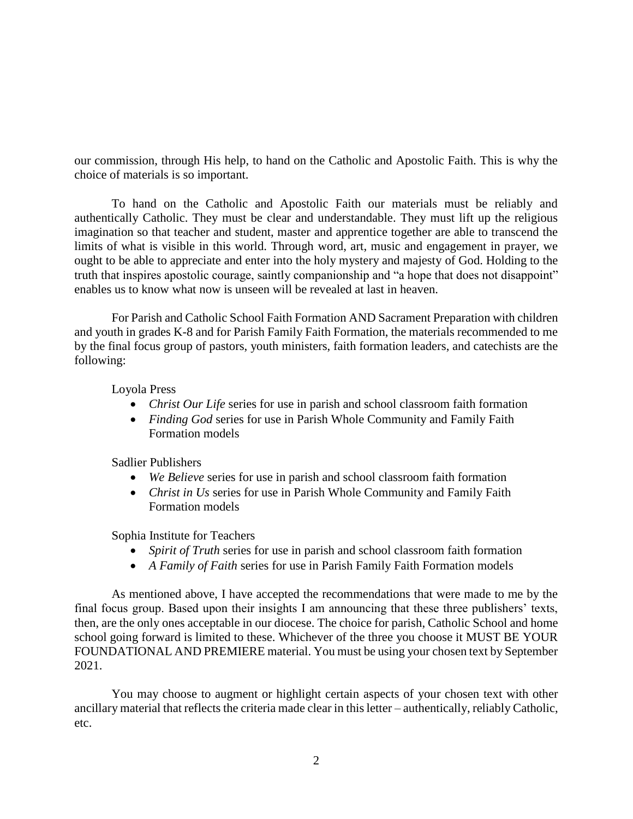our commission, through His help, to hand on the Catholic and Apostolic Faith. This is why the choice of materials is so important.

To hand on the Catholic and Apostolic Faith our materials must be reliably and authentically Catholic. They must be clear and understandable. They must lift up the religious imagination so that teacher and student, master and apprentice together are able to transcend the limits of what is visible in this world. Through word, art, music and engagement in prayer, we ought to be able to appreciate and enter into the holy mystery and majesty of God. Holding to the truth that inspires apostolic courage, saintly companionship and "a hope that does not disappoint" enables us to know what now is unseen will be revealed at last in heaven.

For Parish and Catholic School Faith Formation AND Sacrament Preparation with children and youth in grades K-8 and for Parish Family Faith Formation, the materials recommended to me by the final focus group of pastors, youth ministers, faith formation leaders, and catechists are the following:

Loyola Press

- *Christ Our Life* series for use in parish and school classroom faith formation
- *Finding God* series for use in Parish Whole Community and Family Faith Formation models

Sadlier Publishers

- *We Believe* series for use in parish and school classroom faith formation
- *Christ in Us* series for use in Parish Whole Community and Family Faith Formation models

Sophia Institute for Teachers

- *Spirit of Truth* series for use in parish and school classroom faith formation
- *A Family of Faith* series for use in Parish Family Faith Formation models

As mentioned above, I have accepted the recommendations that were made to me by the final focus group. Based upon their insights I am announcing that these three publishers' texts, then, are the only ones acceptable in our diocese. The choice for parish, Catholic School and home school going forward is limited to these. Whichever of the three you choose it MUST BE YOUR FOUNDATIONAL AND PREMIERE material. You must be using your chosen text by September 2021.

You may choose to augment or highlight certain aspects of your chosen text with other ancillary material that reflects the criteria made clear in this letter – authentically, reliably Catholic, etc.